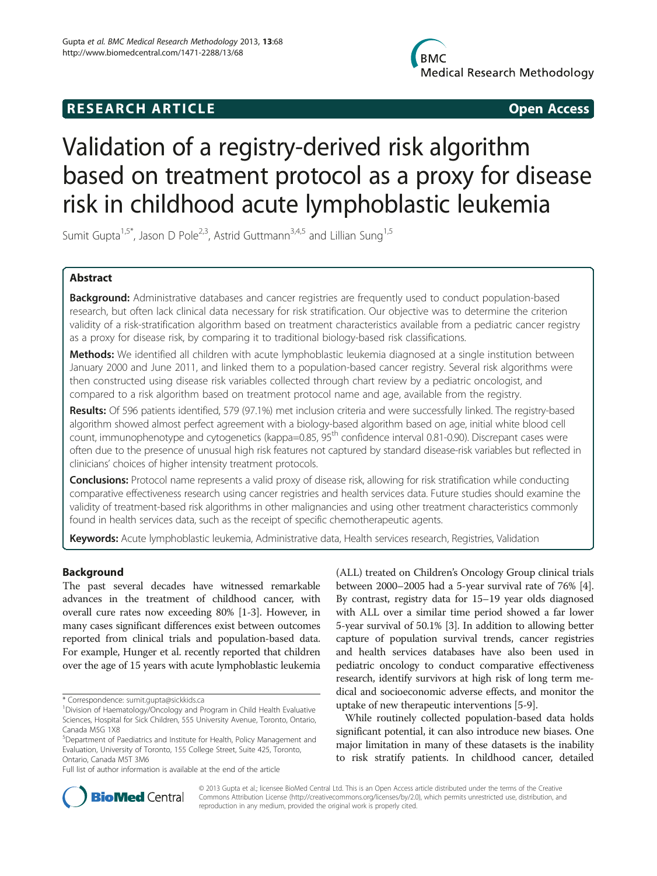# **RESEARCH ARTICLE Example 2014 CONSIDERING CONSIDERING CONSIDERING CONSIDERING CONSIDERING CONSIDERING CONSIDERING CONSIDERING CONSIDERING CONSIDERING CONSIDERING CONSIDERING CONSIDERING CONSIDERING CONSIDERING CONSIDE**

# Validation of a registry-derived risk algorithm based on treatment protocol as a proxy for disease risk in childhood acute lymphoblastic leukemia

Sumit Gupta<sup>1,5\*</sup>, Jason D Pole<sup>2,3</sup>, Astrid Guttmann<sup>3,4,5</sup> and Lillian Sung<sup>1,5</sup>

# Abstract

Background: Administrative databases and cancer registries are frequently used to conduct population-based research, but often lack clinical data necessary for risk stratification. Our objective was to determine the criterion validity of a risk-stratification algorithm based on treatment characteristics available from a pediatric cancer registry as a proxy for disease risk, by comparing it to traditional biology-based risk classifications.

Methods: We identified all children with acute lymphoblastic leukemia diagnosed at a single institution between January 2000 and June 2011, and linked them to a population-based cancer registry. Several risk algorithms were then constructed using disease risk variables collected through chart review by a pediatric oncologist, and compared to a risk algorithm based on treatment protocol name and age, available from the registry.

Results: Of 596 patients identified, 579 (97.1%) met inclusion criteria and were successfully linked. The registry-based algorithm showed almost perfect agreement with a biology-based algorithm based on age, initial white blood cell count, immunophenotype and cytogenetics (kappa=0.85, 95th confidence interval 0.81-0.90). Discrepant cases were often due to the presence of unusual high risk features not captured by standard disease-risk variables but reflected in clinicians' choices of higher intensity treatment protocols.

**Conclusions:** Protocol name represents a valid proxy of disease risk, allowing for risk stratification while conducting comparative effectiveness research using cancer registries and health services data. Future studies should examine the validity of treatment-based risk algorithms in other malignancies and using other treatment characteristics commonly found in health services data, such as the receipt of specific chemotherapeutic agents.

Keywords: Acute lymphoblastic leukemia, Administrative data, Health services research, Registries, Validation

# Background

The past several decades have witnessed remarkable advances in the treatment of childhood cancer, with overall cure rates now exceeding 80% [\[1](#page-5-0)-[3](#page-5-0)]. However, in many cases significant differences exist between outcomes reported from clinical trials and population-based data. For example, Hunger et al. recently reported that children over the age of 15 years with acute lymphoblastic leukemia

Full list of author information is available at the end of the article

(ALL) treated on Children's Oncology Group clinical trials between 2000–2005 had a 5-year survival rate of 76% [[4](#page-5-0)]. By contrast, registry data for 15–19 year olds diagnosed with ALL over a similar time period showed a far lower 5-year survival of 50.1% [[3\]](#page-5-0). In addition to allowing better capture of population survival trends, cancer registries and health services databases have also been used in pediatric oncology to conduct comparative effectiveness research, identify survivors at high risk of long term medical and socioeconomic adverse effects, and monitor the uptake of new therapeutic interventions [\[5](#page-5-0)-[9\]](#page-6-0).

While routinely collected population-based data holds significant potential, it can also introduce new biases. One major limitation in many of these datasets is the inability to risk stratify patients. In childhood cancer, detailed



© 2013 Gupta et al.; licensee BioMed Central Ltd. This is an Open Access article distributed under the terms of the Creative Commons Attribution License [\(http://creativecommons.org/licenses/by/2.0\)](http://creativecommons.org/licenses/by/2.0), which permits unrestricted use, distribution, and reproduction in any medium, provided the original work is properly cited.

<sup>\*</sup> Correspondence: [sumit.gupta@sickkids.ca](mailto:sumit.gupta@sickkids.ca) <sup>1</sup>

<sup>&</sup>lt;sup>1</sup> Division of Haematology/Oncology and Program in Child Health Evaluative Sciences, Hospital for Sick Children, 555 University Avenue, Toronto, Ontario, Canada M5G 1X8

<sup>&</sup>lt;sup>5</sup>Department of Paediatrics and Institute for Health, Policy Management and Evaluation, University of Toronto, 155 College Street, Suite 425, Toronto, Ontario, Canada M5T 3M6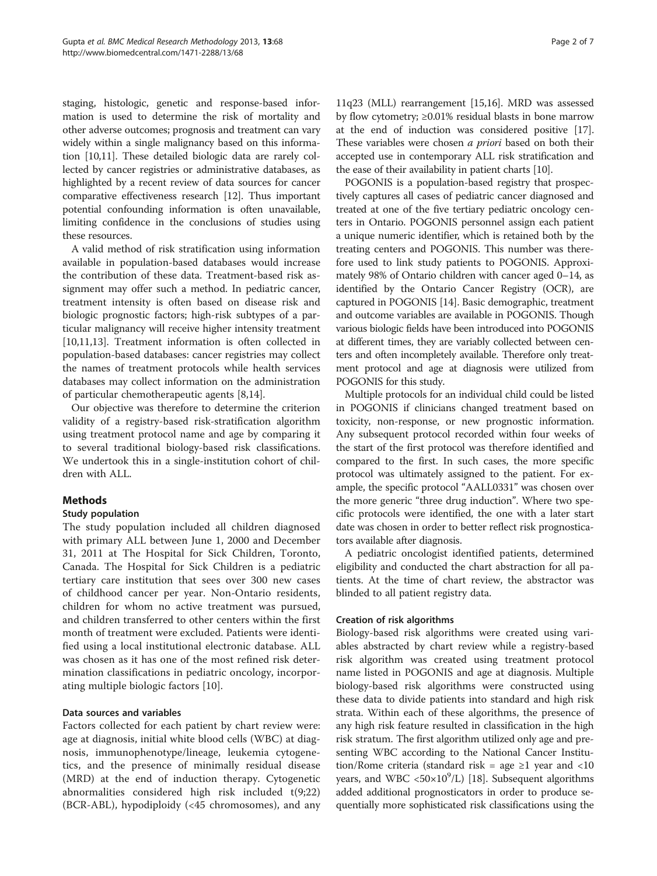staging, histologic, genetic and response-based information is used to determine the risk of mortality and other adverse outcomes; prognosis and treatment can vary widely within a single malignancy based on this information [\[10,11](#page-6-0)]. These detailed biologic data are rarely collected by cancer registries or administrative databases, as highlighted by a recent review of data sources for cancer comparative effectiveness research [[12](#page-6-0)]. Thus important potential confounding information is often unavailable, limiting confidence in the conclusions of studies using these resources.

A valid method of risk stratification using information available in population-based databases would increase the contribution of these data. Treatment-based risk assignment may offer such a method. In pediatric cancer, treatment intensity is often based on disease risk and biologic prognostic factors; high-risk subtypes of a particular malignancy will receive higher intensity treatment [[10,11,13\]](#page-6-0). Treatment information is often collected in population-based databases: cancer registries may collect the names of treatment protocols while health services databases may collect information on the administration of particular chemotherapeutic agents [\[8,14](#page-6-0)].

Our objective was therefore to determine the criterion validity of a registry-based risk-stratification algorithm using treatment protocol name and age by comparing it to several traditional biology-based risk classifications. We undertook this in a single-institution cohort of children with ALL.

# **Methods**

# Study population

The study population included all children diagnosed with primary ALL between June 1, 2000 and December 31, 2011 at The Hospital for Sick Children, Toronto, Canada. The Hospital for Sick Children is a pediatric tertiary care institution that sees over 300 new cases of childhood cancer per year. Non-Ontario residents, children for whom no active treatment was pursued, and children transferred to other centers within the first month of treatment were excluded. Patients were identified using a local institutional electronic database. ALL was chosen as it has one of the most refined risk determination classifications in pediatric oncology, incorporating multiple biologic factors [[10\]](#page-6-0).

# Data sources and variables

Factors collected for each patient by chart review were: age at diagnosis, initial white blood cells (WBC) at diagnosis, immunophenotype/lineage, leukemia cytogenetics, and the presence of minimally residual disease (MRD) at the end of induction therapy. Cytogenetic abnormalities considered high risk included t(9;22) (BCR-ABL), hypodiploidy (<45 chromosomes), and any 11q23 (MLL) rearrangement [[15,16\]](#page-6-0). MRD was assessed by flow cytometry; ≥0.01% residual blasts in bone marrow at the end of induction was considered positive [[17](#page-6-0)]. These variables were chosen *a priori* based on both their accepted use in contemporary ALL risk stratification and the ease of their availability in patient charts [[10](#page-6-0)].

POGONIS is a population-based registry that prospectively captures all cases of pediatric cancer diagnosed and treated at one of the five tertiary pediatric oncology centers in Ontario. POGONIS personnel assign each patient a unique numeric identifier, which is retained both by the treating centers and POGONIS. This number was therefore used to link study patients to POGONIS. Approximately 98% of Ontario children with cancer aged 0–14, as identified by the Ontario Cancer Registry (OCR), are captured in POGONIS [[14](#page-6-0)]. Basic demographic, treatment and outcome variables are available in POGONIS. Though various biologic fields have been introduced into POGONIS at different times, they are variably collected between centers and often incompletely available. Therefore only treatment protocol and age at diagnosis were utilized from POGONIS for this study.

Multiple protocols for an individual child could be listed in POGONIS if clinicians changed treatment based on toxicity, non-response, or new prognostic information. Any subsequent protocol recorded within four weeks of the start of the first protocol was therefore identified and compared to the first. In such cases, the more specific protocol was ultimately assigned to the patient. For example, the specific protocol "AALL0331" was chosen over the more generic "three drug induction". Where two specific protocols were identified, the one with a later start date was chosen in order to better reflect risk prognosticators available after diagnosis.

A pediatric oncologist identified patients, determined eligibility and conducted the chart abstraction for all patients. At the time of chart review, the abstractor was blinded to all patient registry data.

# Creation of risk algorithms

Biology-based risk algorithms were created using variables abstracted by chart review while a registry-based risk algorithm was created using treatment protocol name listed in POGONIS and age at diagnosis. Multiple biology-based risk algorithms were constructed using these data to divide patients into standard and high risk strata. Within each of these algorithms, the presence of any high risk feature resulted in classification in the high risk stratum. The first algorithm utilized only age and presenting WBC according to the National Cancer Institution/Rome criteria (standard risk = age  $\geq 1$  year and <10 years, and WBC < $50 \times 10^9$ /L) [[18](#page-6-0)]. Subsequent algorithms added additional prognosticators in order to produce sequentially more sophisticated risk classifications using the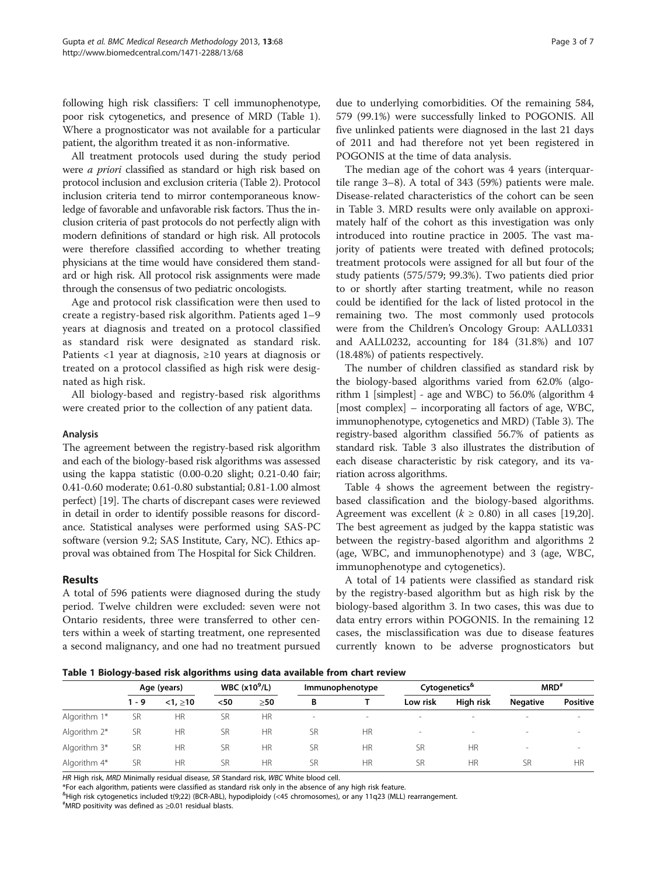following high risk classifiers: T cell immunophenotype, poor risk cytogenetics, and presence of MRD (Table 1). Where a prognosticator was not available for a particular patient, the algorithm treated it as non-informative.

All treatment protocols used during the study period were a priori classified as standard or high risk based on protocol inclusion and exclusion criteria (Table [2](#page-3-0)). Protocol inclusion criteria tend to mirror contemporaneous knowledge of favorable and unfavorable risk factors. Thus the inclusion criteria of past protocols do not perfectly align with modern definitions of standard or high risk. All protocols were therefore classified according to whether treating physicians at the time would have considered them standard or high risk. All protocol risk assignments were made through the consensus of two pediatric oncologists.

Age and protocol risk classification were then used to create a registry-based risk algorithm. Patients aged 1–9 years at diagnosis and treated on a protocol classified as standard risk were designated as standard risk. Patients <1 year at diagnosis, ≥10 years at diagnosis or treated on a protocol classified as high risk were designated as high risk.

All biology-based and registry-based risk algorithms were created prior to the collection of any patient data.

## Analysis

The agreement between the registry-based risk algorithm and each of the biology-based risk algorithms was assessed using the kappa statistic (0.00-0.20 slight; 0.21-0.40 fair; 0.41-0.60 moderate; 0.61-0.80 substantial; 0.81-1.00 almost perfect) [\[19\]](#page-6-0). The charts of discrepant cases were reviewed in detail in order to identify possible reasons for discordance. Statistical analyses were performed using SAS-PC software (version 9.2; SAS Institute, Cary, NC). Ethics approval was obtained from The Hospital for Sick Children.

#### Results

A total of 596 patients were diagnosed during the study period. Twelve children were excluded: seven were not Ontario residents, three were transferred to other centers within a week of starting treatment, one represented a second malignancy, and one had no treatment pursued

The median age of the cohort was 4 years (interquartile range 3–8). A total of 343 (59%) patients were male. Disease-related characteristics of the cohort can be seen in Table [3.](#page-4-0) MRD results were only available on approximately half of the cohort as this investigation was only introduced into routine practice in 2005. The vast majority of patients were treated with defined protocols; treatment protocols were assigned for all but four of the study patients (575/579; 99.3%). Two patients died prior to or shortly after starting treatment, while no reason could be identified for the lack of listed protocol in the remaining two. The most commonly used protocols were from the Children's Oncology Group: AALL0331 and AALL0232, accounting for 184 (31.8%) and 107 (18.48%) of patients respectively.

The number of children classified as standard risk by the biology-based algorithms varied from 62.0% (algorithm 1 [simplest] - age and WBC) to 56.0% (algorithm 4 [most complex] – incorporating all factors of age, WBC, immunophenotype, cytogenetics and MRD) (Table [3\)](#page-4-0). The registry-based algorithm classified 56.7% of patients as standard risk. Table [3](#page-4-0) also illustrates the distribution of each disease characteristic by risk category, and its variation across algorithms.

Table [4](#page-4-0) shows the agreement between the registrybased classification and the biology-based algorithms. Agreement was excellent ( $k \ge 0.80$ ) in all cases [\[19,20](#page-6-0)]. The best agreement as judged by the kappa statistic was between the registry-based algorithm and algorithms 2 (age, WBC, and immunophenotype) and 3 (age, WBC, immunophenotype and cytogenetics).

A total of 14 patients were classified as standard risk by the registry-based algorithm but as high risk by the biology-based algorithm 3. In two cases, this was due to data entry errors within POGONIS. In the remaining 12 cases, the misclassification was due to disease features currently known to be adverse prognosticators but

Table 1 Biology-based risk algorithms using data available from chart review

|              | - 37<br>Age (years) |             | WBC $(x10^9/L)$ |           | Immunophenotype |           | Cytogenetics <sup>&amp;</sup> |           | $MRD^*$                  |                          |
|--------------|---------------------|-------------|-----------------|-----------|-----------------|-----------|-------------------------------|-----------|--------------------------|--------------------------|
|              | 1 - 9               | $1, \ge 10$ | $50$            | $\geq 50$ | В               |           | Low risk                      | High risk | <b>Negative</b>          | <b>Positive</b>          |
| Algorithm 1* | <b>SR</b>           | HR          | SR              | <b>HR</b> |                 |           | $\sim$                        | -         | $\overline{\phantom{a}}$ | $\overline{\phantom{a}}$ |
| Algorithm 2* | <b>SR</b>           | <b>HR</b>   | SR              | <b>HR</b> | SR              | <b>HR</b> | $\,$                          | $\,$      | $\overline{\phantom{a}}$ | $\overline{\phantom{a}}$ |
| Algorithm 3* | <b>SR</b>           | <b>HR</b>   | SR              | <b>HR</b> | SR              | <b>HR</b> | SR                            | <b>HR</b> | $\sim$                   | $\sim$                   |
| Algorithm 4* | <b>SR</b>           | <b>HR</b>   | SR              | <b>HR</b> | SR              | <b>HR</b> | SR                            | <b>HR</b> | SR                       | <b>HR</b>                |

HR High risk, MRD Minimally residual disease, SR Standard risk, WBC White blood cell.

\*For each algorithm, patients were classified as standard risk only in the absence of any high risk feature.

& High risk cytogenetics included t(9;22) (BCR-ABL), hypodiploidy (<45 chromosomes), or any 11q23 (MLL) rearrangement.

# MRD positivity was defined as ≥0.01 residual blasts.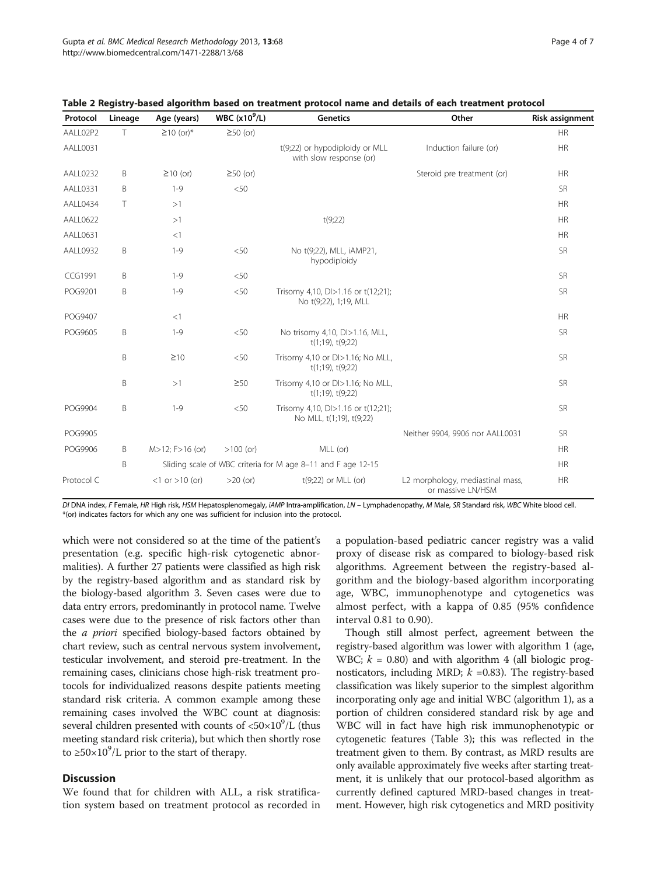| Protocol   | Lineage | Age (years)              | <b>WBC</b> (x10 <sup>9</sup> /L) | <b>Genetics</b>                                                | Other                                                 | <b>Risk assignment</b> |
|------------|---------|--------------------------|----------------------------------|----------------------------------------------------------------|-------------------------------------------------------|------------------------|
| AALL02P2   | T       | $\geq$ 10 (or)*          | $\geq$ 50 (or)                   |                                                                |                                                       | <b>HR</b>              |
| AALL0031   |         |                          |                                  | t(9;22) or hypodiploidy or MLL<br>with slow response (or)      | Induction failure (or)                                | <b>HR</b>              |
| AALL0232   | B       | $\geq$ 10 (or)           | $\geq$ 50 (or)                   |                                                                | Steroid pre treatment (or)                            | <b>HR</b>              |
| AALL0331   | B       | $1 - 9$                  | $<$ 50                           |                                                                |                                                       | <b>SR</b>              |
| AALL0434   | T       | >1                       |                                  |                                                                |                                                       | <b>HR</b>              |
| AALL0622   |         | >1                       |                                  | t(9;22)                                                        |                                                       | <b>HR</b>              |
| AALL0631   |         | <1                       |                                  |                                                                |                                                       | <b>HR</b>              |
| AALL0932   | B       | $1 - 9$                  | < 50                             | No t(9;22), MLL, iAMP21,<br>hypodiploidy                       |                                                       | <b>SR</b>              |
| CCG1991    | B       | $1 - 9$                  | $<$ 50                           |                                                                |                                                       | <b>SR</b>              |
| POG9201    | B       | $1 - 9$                  | < 50                             | Trisomy 4,10, DI>1.16 or t(12;21);<br>No t(9;22), 1;19, MLL    |                                                       | <b>SR</b>              |
| POG9407    |         | <1                       |                                  |                                                                |                                                       | <b>HR</b>              |
| POG9605    | B       | $1 - 9$                  | < 50                             | No trisomy 4,10, DI>1.16, MLL,<br>$t(1;19)$ , $t(9;22)$        |                                                       | <b>SR</b>              |
|            | B       | $\geq 10$                | $<$ 50                           | Trisomy 4,10 or DI>1.16; No MLL,<br>$t(1,19)$ , $t(9,22)$      |                                                       | <b>SR</b>              |
|            | B       | >1                       | $\geq 50$                        | Trisomy 4,10 or DI>1.16; No MLL,<br>$t(1;19)$ , $t(9;22)$      |                                                       | SR                     |
| POG9904    | B       | $1 - 9$                  | < 50                             | Trisomy 4,10, DI>1.16 or t(12;21);<br>No MLL, t(1;19), t(9;22) |                                                       | <b>SR</b>              |
| POG9905    |         |                          |                                  |                                                                | Neither 9904, 9906 nor AALL0031                       | <b>SR</b>              |
| POG9906    | Β       | $M > 12$ ; F $> 16$ (or) | $>100$ (or)                      | MLL (or)                                                       |                                                       | <b>HR</b>              |
|            | B       |                          |                                  | Sliding scale of WBC criteria for M age 8-11 and F age 12-15   |                                                       | <b>HR</b>              |
| Protocol C |         | $<1$ or $>10$ (or)       | $>20$ (or)                       | $t(9;22)$ or MLL (or)                                          | L2 morphology, mediastinal mass,<br>or massive LN/HSM | <b>HR</b>              |

<span id="page-3-0"></span>

|  |  | Table 2 Registry-based algorithm based on treatment protocol name and details of each treatment protocol |  |  |
|--|--|----------------------------------------------------------------------------------------------------------|--|--|
|--|--|----------------------------------------------------------------------------------------------------------|--|--|

DI DNA index, F Female, HR High risk, HSM Hepatosplenomegaly, iAMP Intra-amplification, LN - Lymphadenopathy, M Male, SR Standard risk, WBC White blood cell. \*(or) indicates factors for which any one was sufficient for inclusion into the protocol.

which were not considered so at the time of the patient's presentation (e.g. specific high-risk cytogenetic abnormalities). A further 27 patients were classified as high risk by the registry-based algorithm and as standard risk by the biology-based algorithm 3. Seven cases were due to data entry errors, predominantly in protocol name. Twelve cases were due to the presence of risk factors other than the *a priori* specified biology-based factors obtained by chart review, such as central nervous system involvement, testicular involvement, and steroid pre-treatment. In the remaining cases, clinicians chose high-risk treatment protocols for individualized reasons despite patients meeting standard risk criteria. A common example among these remaining cases involved the WBC count at diagnosis: several children presented with counts of  $\langle 50 \times 10^9 / L$  (thus meeting standard risk criteria), but which then shortly rose to ≥50×10<sup>9</sup>/L prior to the start of therapy.

## **Discussion**

We found that for children with ALL, a risk stratification system based on treatment protocol as recorded in

a population-based pediatric cancer registry was a valid proxy of disease risk as compared to biology-based risk algorithms. Agreement between the registry-based algorithm and the biology-based algorithm incorporating age, WBC, immunophenotype and cytogenetics was almost perfect, with a kappa of 0.85 (95% confidence interval 0.81 to 0.90).

Though still almost perfect, agreement between the registry-based algorithm was lower with algorithm 1 (age, WBC;  $k = 0.80$ ) and with algorithm 4 (all biologic prognosticators, including MRD;  $k = 0.83$ ). The registry-based classification was likely superior to the simplest algorithm incorporating only age and initial WBC (algorithm 1), as a portion of children considered standard risk by age and WBC will in fact have high risk immunophenotypic or cytogenetic features (Table [3](#page-4-0)); this was reflected in the treatment given to them. By contrast, as MRD results are only available approximately five weeks after starting treatment, it is unlikely that our protocol-based algorithm as currently defined captured MRD-based changes in treatment. However, high risk cytogenetics and MRD positivity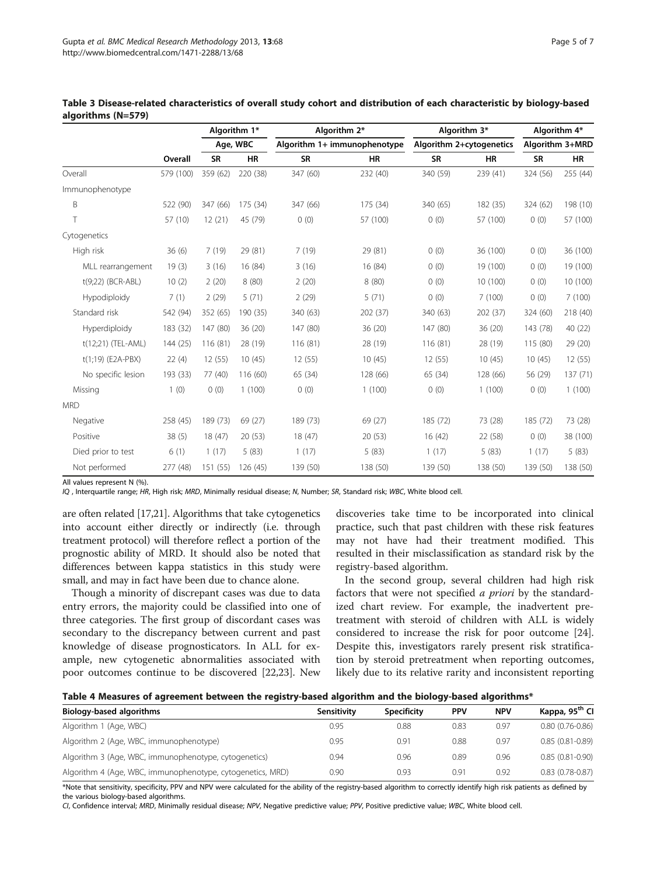|                     |           | Algorithm 1*<br>Age, WBC |          |                              | Algorithm 2* |           | Algorithm 3*             | Algorithm 4*    |          |
|---------------------|-----------|--------------------------|----------|------------------------------|--------------|-----------|--------------------------|-----------------|----------|
|                     |           |                          |          | Algorithm 1+ immunophenotype |              |           | Algorithm 2+cytogenetics | Algorithm 3+MRD |          |
|                     | Overall   | <b>SR</b>                | HR       | <b>SR</b>                    | HR           | <b>SR</b> | HR                       | SR              | HR       |
| Overall             | 579 (100) | 359 (62)                 | 220 (38) | 347 (60)                     | 232 (40)     | 340 (59)  | 239 (41)                 | 324 (56)        | 255 (44) |
| Immunophenotype     |           |                          |          |                              |              |           |                          |                 |          |
| B                   | 522 (90)  | 347 (66)                 | 175 (34) | 347 (66)                     | 175 (34)     | 340 (65)  | 182 (35)                 | 324 (62)        | 198 (10) |
| T                   | 57 (10)   | 12(21)                   | 45 (79)  | 0(0)                         | 57 (100)     | 0(0)      | 57 (100)                 | 0(0)            | 57 (100) |
| Cytogenetics        |           |                          |          |                              |              |           |                          |                 |          |
| High risk           | 36(6)     | 7(19)                    | 29 (81)  | 7(19)                        | 29 (81)      | 0(0)      | 36 (100)                 | 0(0)            | 36 (100) |
| MLL rearrangement   | 19(3)     | 3(16)                    | 16 (84)  | 3(16)                        | 16 (84)      | 0(0)      | 19 (100)                 | 0(0)            | 19 (100) |
| t(9;22) (BCR-ABL)   | 10(2)     | 2(20)                    | 8(80)    | 2(20)                        | 8(80)        | 0(0)      | 10 (100)                 | 0(0)            | 10 (100) |
| Hypodiploidy        | 7(1)      | 2(29)                    | 5(71)    | 2(29)                        | 5(71)        | 0(0)      | 7(100)                   | 0(0)            | 7(100)   |
| Standard risk       | 542 (94)  | 352 (65)                 | 190 (35) | 340 (63)                     | 202 (37)     | 340 (63)  | 202 (37)                 | 324 (60)        | 218 (40) |
| Hyperdiploidy       | 183 (32)  | 147 (80)                 | 36 (20)  | 147 (80)                     | 36 (20)      | 147 (80)  | 36 (20)                  | 143 (78)        | 40 (22)  |
| t(12;21) (TEL-AML)  | 144 (25)  | 116 (81)                 | 28 (19)  | 116 (81)                     | 28 (19)      | 116 (81)  | 28 (19)                  | 115 (80)        | 29 (20)  |
| $t(1;19)$ (E2A-PBX) | 22(4)     | 12(55)                   | 10(45)   | 12(55)                       | 10(45)       | 12(55)    | 10(45)                   | 10(45)          | 12(55)   |
| No specific lesion  | 193 (33)  | 77 (40)                  | 116 (60) | 65 (34)                      | 128 (66)     | 65 (34)   | 128 (66)                 | 56 (29)         | 137(71)  |
| Missing             | 1(0)      | 0(0)                     | 1(100)   | 0(0)                         | 1(100)       | 0(0)      | 1(100)                   | 0(0)            | 1(100)   |
| <b>MRD</b>          |           |                          |          |                              |              |           |                          |                 |          |
| Negative            | 258 (45)  | 189 (73)                 | 69 (27)  | 189 (73)                     | 69 (27)      | 185 (72)  | 73 (28)                  | 185 (72)        | 73 (28)  |
| Positive            | 38(5)     | 18(47)                   | 20(53)   | 18(47)                       | 20(53)       | 16(42)    | 22 (58)                  | 0(0)            | 38 (100) |
| Died prior to test  | 6(1)      | 1(17)                    | 5(83)    | 1(17)                        | 5(83)        | 1(17)     | 5(83)                    | 1(17)           | 5(83)    |
| Not performed       | 277 (48)  | 151 (55)                 | 126 (45) | 139 (50)                     | 138 (50)     | 139 (50)  | 138 (50)                 | 139 (50)        | 138 (50) |

<span id="page-4-0"></span>Table 3 Disease-related characteristics of overall study cohort and distribution of each characteristic by biology-based algorithms (N=579)

All values represent N (%).

IQ , Interquartile range; HR, High risk; MRD, Minimally residual disease; N, Number; SR, Standard risk; WBC, White blood cell.

are often related [\[17,21\]](#page-6-0). Algorithms that take cytogenetics into account either directly or indirectly (i.e. through treatment protocol) will therefore reflect a portion of the prognostic ability of MRD. It should also be noted that differences between kappa statistics in this study were small, and may in fact have been due to chance alone.

Though a minority of discrepant cases was due to data entry errors, the majority could be classified into one of three categories. The first group of discordant cases was secondary to the discrepancy between current and past knowledge of disease prognosticators. In ALL for example, new cytogenetic abnormalities associated with poor outcomes continue to be discovered [\[22](#page-6-0),[23](#page-6-0)]. New

discoveries take time to be incorporated into clinical practice, such that past children with these risk features may not have had their treatment modified. This resulted in their misclassification as standard risk by the registry-based algorithm.

In the second group, several children had high risk factors that were not specified *a priori* by the standardized chart review. For example, the inadvertent pretreatment with steroid of children with ALL is widely considered to increase the risk for poor outcome [\[24](#page-6-0)]. Despite this, investigators rarely present risk stratification by steroid pretreatment when reporting outcomes, likely due to its relative rarity and inconsistent reporting

|  | Table 4 Measures of agreement between the registry-based algorithm and the biology-based algorithms* |  |  |  |  |  |
|--|------------------------------------------------------------------------------------------------------|--|--|--|--|--|
|--|------------------------------------------------------------------------------------------------------|--|--|--|--|--|

| Biology-based algorithms                                   | Sensitivity | <b>Specificity</b> | <b>PPV</b> | <b>NPV</b> | Kappa, 95 <sup>th</sup> Cl |
|------------------------------------------------------------|-------------|--------------------|------------|------------|----------------------------|
| Algorithm 1 (Age, WBC)                                     | 0.95        | 0.88               | 0.83       | 0.97       | $0.80(0.76 - 0.86)$        |
| Algorithm 2 (Age, WBC, immunophenotype)                    | 0.95        | 0.91               | 0.88       | 0.97       | $0.85(0.81 - 0.89)$        |
| Algorithm 3 (Age, WBC, immunophenotype, cytogenetics)      | 0.94        | 0.96               | 0.89       | 0.96       | $0.85(0.81 - 0.90)$        |
| Algorithm 4 (Age, WBC, immunophenotype, cytogenetics, MRD) | 0.90        | 0.93               | 0.91       | 0.92       | $0.83(0.78-0.87)$          |

\*Note that sensitivity, specificity, PPV and NPV were calculated for the ability of the registry-based algorithm to correctly identify high risk patients as defined by the various biology-based algorithms.

CI, Confidence interval; MRD, Minimally residual disease; NPV, Negative predictive value; PPV, Positive predictive value; WBC, White blood cell.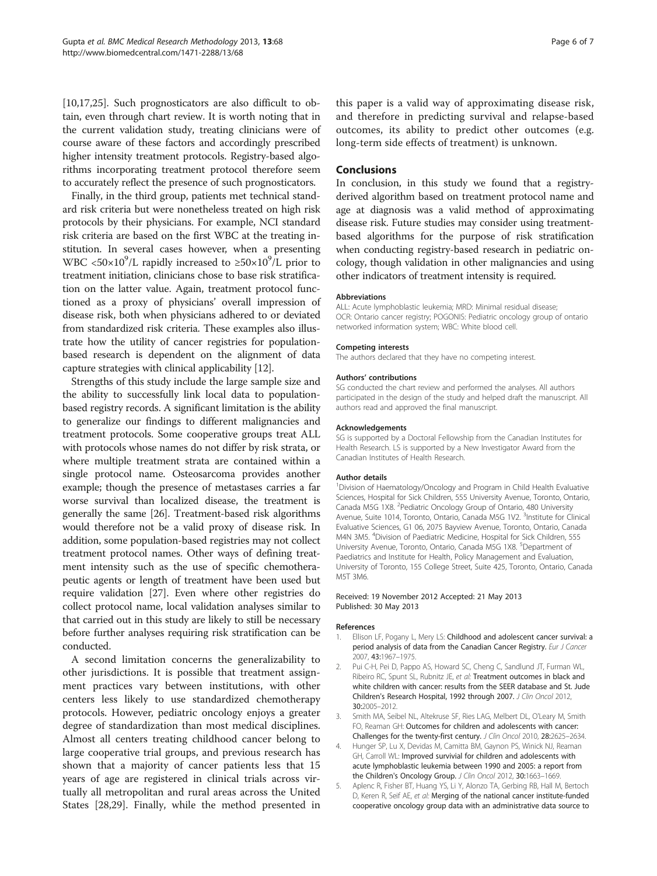<span id="page-5-0"></span>[[10,17,25\]](#page-6-0). Such prognosticators are also difficult to obtain, even through chart review. It is worth noting that in the current validation study, treating clinicians were of course aware of these factors and accordingly prescribed higher intensity treatment protocols. Registry-based algorithms incorporating treatment protocol therefore seem to accurately reflect the presence of such prognosticators.

Finally, in the third group, patients met technical standard risk criteria but were nonetheless treated on high risk protocols by their physicians. For example, NCI standard risk criteria are based on the first WBC at the treating institution. In several cases however, when a presenting WBC <50×10<sup>9</sup>/L rapidly increased to  $\geq 50 \times 10^9$ /L prior to treatment initiation, clinicians chose to base risk stratification on the latter value. Again, treatment protocol functioned as a proxy of physicians' overall impression of disease risk, both when physicians adhered to or deviated from standardized risk criteria. These examples also illustrate how the utility of cancer registries for populationbased research is dependent on the alignment of data capture strategies with clinical applicability [[12](#page-6-0)].

Strengths of this study include the large sample size and the ability to successfully link local data to populationbased registry records. A significant limitation is the ability to generalize our findings to different malignancies and treatment protocols. Some cooperative groups treat ALL with protocols whose names do not differ by risk strata, or where multiple treatment strata are contained within a single protocol name. Osteosarcoma provides another example; though the presence of metastases carries a far worse survival than localized disease, the treatment is generally the same [\[26\]](#page-6-0). Treatment-based risk algorithms would therefore not be a valid proxy of disease risk. In addition, some population-based registries may not collect treatment protocol names. Other ways of defining treatment intensity such as the use of specific chemotherapeutic agents or length of treatment have been used but require validation [\[27\]](#page-6-0). Even where other registries do collect protocol name, local validation analyses similar to that carried out in this study are likely to still be necessary before further analyses requiring risk stratification can be conducted.

A second limitation concerns the generalizability to other jurisdictions. It is possible that treatment assignment practices vary between institutions, with other centers less likely to use standardized chemotherapy protocols. However, pediatric oncology enjoys a greater degree of standardization than most medical disciplines. Almost all centers treating childhood cancer belong to large cooperative trial groups, and previous research has shown that a majority of cancer patients less that 15 years of age are registered in clinical trials across virtually all metropolitan and rural areas across the United States [\[28,29\]](#page-6-0). Finally, while the method presented in this paper is a valid way of approximating disease risk, and therefore in predicting survival and relapse-based outcomes, its ability to predict other outcomes (e.g. long-term side effects of treatment) is unknown.

#### Conclusions

In conclusion, in this study we found that a registryderived algorithm based on treatment protocol name and age at diagnosis was a valid method of approximating disease risk. Future studies may consider using treatmentbased algorithms for the purpose of risk stratification when conducting registry-based research in pediatric oncology, though validation in other malignancies and using other indicators of treatment intensity is required.

#### Abbreviations

ALL: Acute lymphoblastic leukemia; MRD: Minimal residual disease; OCR: Ontario cancer registry; POGONIS: Pediatric oncology group of ontario networked information system; WBC: White blood cell.

#### Competing interests

The authors declared that they have no competing interest.

#### Authors' contributions

SG conducted the chart review and performed the analyses. All authors participated in the design of the study and helped draft the manuscript. All authors read and approved the final manuscript.

#### Acknowledgements

SG is supported by a Doctoral Fellowship from the Canadian Institutes for Health Research. LS is supported by a New Investigator Award from the Canadian Institutes of Health Research.

#### Author details

<sup>1</sup> Division of Haematology/Oncology and Program in Child Health Evaluative Sciences, Hospital for Sick Children, 555 University Avenue, Toronto, Ontario, Canada M5G 1X8. <sup>2</sup>Pediatric Oncology Group of Ontario, 480 University Avenue, Suite 1014, Toronto, Ontario, Canada M5G 1V2. <sup>3</sup>Institute for Clinical Evaluative Sciences, G1 06, 2075 Bayview Avenue, Toronto, Ontario, Canada M4N 3M5. <sup>4</sup> Division of Paediatric Medicine, Hospital for Sick Children, 555 University Avenue, Toronto, Ontario, Canada M5G 1X8. <sup>5</sup>Department of Paediatrics and Institute for Health, Policy Management and Evaluation, University of Toronto, 155 College Street, Suite 425, Toronto, Ontario, Canada M5T 3M6.

#### Received: 19 November 2012 Accepted: 21 May 2013 Published: 30 May 2013

#### References

- 1. Ellison LF, Pogany L, Mery LS: Childhood and adolescent cancer survival: a period analysis of data from the Canadian Cancer Registry. Eur J Cancer 2007, 43:1967–1975.
- 2. Pui C-H, Pei D, Pappo AS, Howard SC, Cheng C, Sandlund JT, Furman WL, Ribeiro RC, Spunt SL, Rubnitz JE, et al: Treatment outcomes in black and white children with cancer: results from the SEER database and St. Jude Children's Research Hospital, 1992 through 2007. J Clin Oncol 2012, 30:2005–2012.
- 3. Smith MA, Seibel NL, Altekruse SF, Ries LAG, Melbert DL, O'Leary M, Smith FO, Reaman GH: Outcomes for children and adolescents with cancer: Challenges for the twenty-first century. J Clin Oncol 2010, 28:2625–2634.
- 4. Hunger SP, Lu X, Devidas M, Camitta BM, Gaynon PS, Winick NJ, Reaman GH, Carroll WL: Improved survivial for children and adolescents with acute lymphoblastic leukemia between 1990 and 2005: a report from the Children's Oncology Group. J Clin Oncol 2012, 30:1663-1669.
- 5. Aplenc R, Fisher BT, Huang YS, Li Y, Alonzo TA, Gerbing RB, Hall M, Bertoch D, Keren R, Seif AE, et al: Merging of the national cancer institute-funded cooperative oncology group data with an administrative data source to